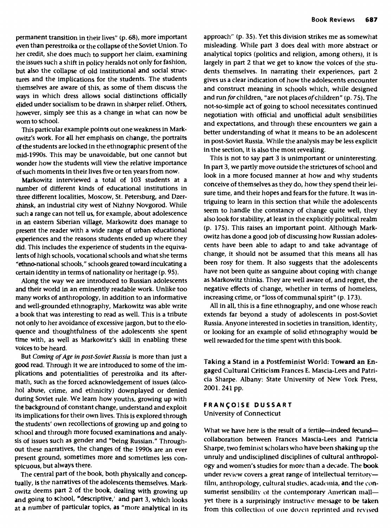permanent transition in their lives" (p. 68), more important even than perestroika or the collapse of the Soviet Union. To her credit, she does much to support her claim, examining the issues such a shift in policy heralds not only for fashion, but also the collapse of old institutional and social structures and the implications for the students. The students themselves are aware of this, as some of them discuss the ways in which dress allows social distinctions officially elided under socialism to be drawn in sharper relief. Others, however, simply see this as a change in what can now be worn to school.

This particular example points out one weakness in Markowitz's work. For all her emphasis on change, the portraits of the students are locked in the ethnographic present of the mid-1990s. This may be unavoidable, but one cannot but wonder how the students will view the relative importance of such moments in their lives five or ten years from now.

Markowitz interviewed a total of 103 students at a number of different kinds of educational institutions in three different localities, Moscow, St. Petersburg, and Dzerzhinsk, an industrial city west of Nizhny Novgorod. While such a range can not tell us, for example, about adolescence in an eastern Siberian village, Markowitz does manage to present the reader with a wide range of urban educational experiences and the reasons students ended up where they did. This includes the experience of students in the equivalents of high schools, vocational schools and what she terms "ethno-national schools," schools geared toward inculcating a certain identity in terms of nationality or heritage (p. 95).

Along the way we are introduced to Russian adolescents and their world in an eminently readable work. Unlike too many works of anthropology, in addition to an informative and well-grounded ethnography, Markowitz was able write a book that was interesting to read as well. This is a tribute not only to her avoidance of excessive jargon, but to the eloquence and thoughtfulness of the adolescents she spent time with, as well as Markowitz's skill in enabling these voices to be heard.

But *Coming of Age in post-Soviet Russia* is more than just a good read. Through it we are introduced to some of the implications and potentialities of perestroika and its aftermath, such as the forced acknowledgement of issues (alcohol abuse, crime, and ethnicity) downplayed or denied during Soviet rule. We learn how youths, growing up with the background of constant change, understand and exploit its implications for their own lives. This is explored through the students' own recollections of growing up and going to school and through more focused examinations and analysis of issues such as gender and "being Russian." Throughout these narratives, the changes of the 1990s are an ever present ground, sometimes more and sometimes less conspicuous, but always there.

The central part of the book, both physically and conceptually, is the narratives of the adolescents themselves. Markowitz deems part 2 of the book, dealing with growing up and going to school, "descriptive,' and part 3, which looks at a number of particular topics, as "more analytical in its approach'" (p. 35). Yet this division strikes me as somewhat misleading. While part 3 does deal with more abstract or analytical topics (politics and religion, among others), it is largely in part 2 that we get to know the voices of the students themselves. In narrating their experiences, part 2 gives us a clear indication of how the adolescents encounter and construct meaning in schools which, while designed and run *for* children, "are not places of children" (p. 75). The not-so-simple act of going to school necessitates continued negotiation with official and unofficial adult sensibilities and expectations, and through these encounters we gain a better understanding of what it means to be an adolescent in post-Soviet Russia. While the analysis may be less explicit in the section, it is also the most revealing.

This is not to say part 3 is unimportant or uninteresting. In part 3, we partly move outside the strictures of school and look in a more focused manner at how and why students conceive of themselves as they do, how they spend their leisure time, and their hopes and fears for the future. It was intriguing to learn in this section that while the adolescents seem to handle the constancy of change quite well, they also look for stability, at least in the explicitly political realm (p. 175). This raises an important point. Although Markowitz has done a good job of discussing how Russian adolescents have been able to adapt to and take advantage of change, it should not be assumed that this means all has been rosy for them. It also suggests that the adolescents have not been quite as sanguine about coping with change as Markowitz thinks. They are well aware of, and regret, the negative effects of change, whether in terms of homeless, increasing crime, or "loss of communal spirit" (p. 173).

All in all, this is a fine ethnography, and one whose reach extends far beyond a study of adolescents in post-Soviet Russia. Anyone interested in societies in transition, identity, or looking for an example of solid ethnography would be well rewarded for the time spent with this book.

Taking a Stand in a Postfeminist World: Toward an Engaged Cultural Criticism Frances E. Mascia-Lees and Patricia Sharpe. Albany: State University of New York Press, 2001. 241 pp.

## FRANÇOISE DUSSART

University of Connecticut

What we have here is the result of a tertile—indeed fecund collaboration between Frances Mascia-Lees and Patricia Sharpe, two feminist scholars who have been shaking up the unruly and undisciplined disciplines of cultural anthropology and women's studies for more than a decade. The book under review covers a great range of intellectual territory film, anthropology, cultural studies, acadcinia, and the consumerist sensibility of the contemporary American mall yet there is a surprisingly instructive message to be taken from this collection of one dozen reprinted and revised